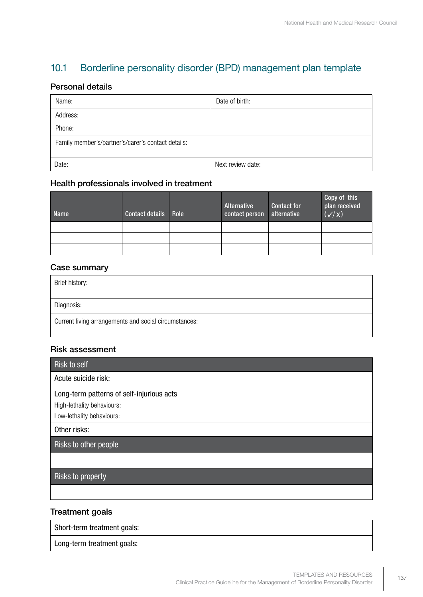# 10.1 Borderline personality disorder (BPD) management plan template

### Personal details

| Name:                                              | Date of birth:    |
|----------------------------------------------------|-------------------|
| Address:                                           |                   |
| Phone:                                             |                   |
| Family member's/partner's/carer's contact details: |                   |
| Date:                                              | Next review date: |

# Health professionals involved in treatment

| <b>Name</b> | Contact details Role | Alternative<br>contact person | <b>Contact for</b><br>alternative | Copy of this<br>plan received<br>$(\checkmark/x)$ |
|-------------|----------------------|-------------------------------|-----------------------------------|---------------------------------------------------|
|             |                      |                               |                                   |                                                   |
|             |                      |                               |                                   |                                                   |
|             |                      |                               |                                   |                                                   |

#### Case summary

| Brief history:                                        |
|-------------------------------------------------------|
| Diagnosis:                                            |
| Current living arrangements and social circumstances: |

#### Risk assessment

| Risk to self                              |
|-------------------------------------------|
| Acute suicide risk:                       |
| Long-term patterns of self-injurious acts |
| High-lethality behaviours:                |
| Low-lethality behaviours:                 |
| Other risks:                              |
| Risks to other people                     |
|                                           |
| Risks to property                         |
|                                           |

# Treatment goals

Short-term treatment goals:

Long-term treatment goals: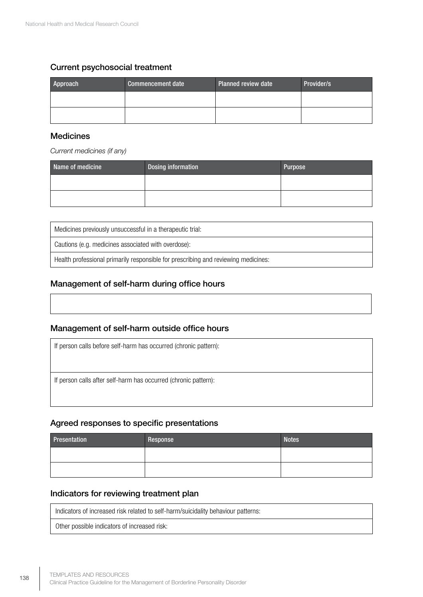## Current psychosocial treatment

| Approach | Commencement date | <b>Planned review date</b> | Provider/s |
|----------|-------------------|----------------------------|------------|
|          |                   |                            |            |
|          |                   |                            |            |

#### Medicines

*Current medicines (if any)*

| Name of medicine | Dosing information | Purpose |
|------------------|--------------------|---------|
|                  |                    |         |
|                  |                    |         |

Medicines previously unsuccessful in a therapeutic trial:

Cautions (e.g. medicines associated with overdose):

Health professional primarily responsible for prescribing and reviewing medicines:

# Management of self-harm during office hours

## Management of self-harm outside office hours

If person calls before self-harm has occurred (chronic pattern): If person calls after self-harm has occurred (chronic pattern):

#### Agreed responses to specific presentations

| Presentation | Response | <b>Notes</b> |
|--------------|----------|--------------|
|              |          |              |
|              |          |              |

#### Indicators for reviewing treatment plan

Indicators of increased risk related to self-harm/suicidality behaviour patterns:

Other possible indicators of increased risk: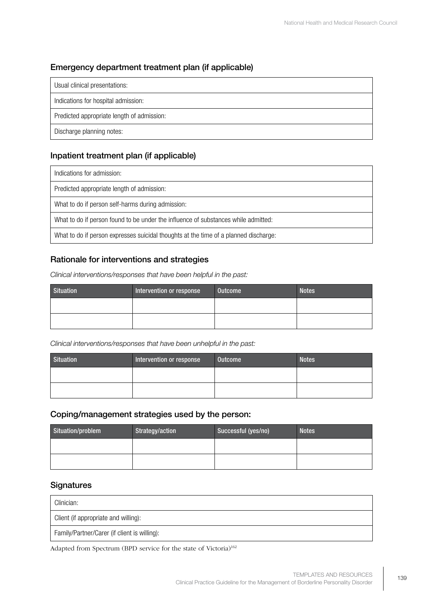# Emergency department treatment plan (if applicable)

| Usual clinical presentations:              |
|--------------------------------------------|
| Indications for hospital admission:        |
| Predicted appropriate length of admission: |
| Discharge planning notes:                  |

# Inpatient treatment plan (if applicable)

Indications for admission:

Predicted appropriate length of admission:

What to do if person self-harms during admission:

What to do if person found to be under the influence of substances while admitted:

What to do if person expresses suicidal thoughts at the time of a planned discharge:

# Rationale for interventions and strategies

*Clinical interventions/responses that have been helpful in the past:* 

| <b>Situation</b> | Intervention or response | Outcome | <b>Notes</b> |
|------------------|--------------------------|---------|--------------|
|                  |                          |         |              |
|                  |                          |         |              |

*Clinical interventions/responses that have been unhelpful in the past:* 

| <b>Situation</b> | Intervention or response | Outcome | <b>Notes</b> |
|------------------|--------------------------|---------|--------------|
|                  |                          |         |              |
|                  |                          |         |              |

#### Coping/management strategies used by the person:

| Situation/problem | Strategy/action | Successful (yes/no) | <b>Notes</b> |
|-------------------|-----------------|---------------------|--------------|
|                   |                 |                     |              |
|                   |                 |                     |              |

## **Signatures**

| Clinician:                                   |
|----------------------------------------------|
| Client (if appropriate and willing):         |
| Family/Partner/Carer (if client is willing): |

Adapted from Spectrum (BPD service for the state of Victoria)<sup>162</sup>